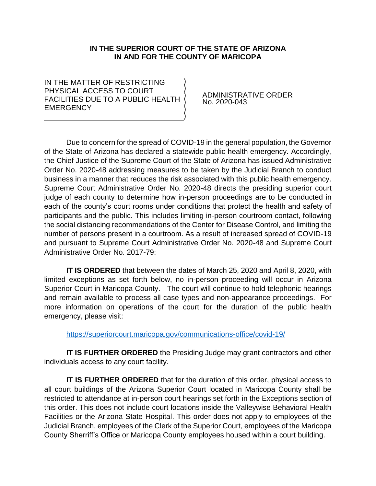### **IN THE SUPERIOR COURT OF THE STATE OF ARIZONA IN AND FOR THE COUNTY OF MARICOPA**

) ) ) ) ) )

IN THE MATTER OF RESTRICTING PHYSICAL ACCESS TO COURT FACILITIES DUE TO A PUBLIC HEALTH **EMERGENCY** 

 ADMINISTRATIVE ORDER No. 2020-043

Due to concern for the spread of COVID-19 in the general population, the Governor of the State of Arizona has declared a statewide public health emergency. Accordingly, the Chief Justice of the Supreme Court of the State of Arizona has issued Administrative Order No. 2020-48 addressing measures to be taken by the Judicial Branch to conduct business in a manner that reduces the risk associated with this public health emergency. Supreme Court Administrative Order No. 2020-48 directs the presiding superior court judge of each county to determine how in-person proceedings are to be conducted in each of the county's court rooms under conditions that protect the health and safety of participants and the public. This includes limiting in-person courtroom contact, following the social distancing recommendations of the Center for Disease Control, and limiting the number of persons present in a courtroom. As a result of increased spread of COVID-19 and pursuant to Supreme Court Administrative Order No. 2020-48 and Supreme Court Administrative Order No. 2017-79:

**IT IS ORDERED** that between the dates of March 25, 2020 and April 8, 2020, with limited exceptions as set forth below, no in-person proceeding will occur in Arizona Superior Court in Maricopa County. The court will continue to hold telephonic hearings and remain available to process all case types and non-appearance proceedings. For more information on operations of the court for the duration of the public health emergency, please visit:

<https://superiorcourt.maricopa.gov/communications-office/covid-19/>

**IT IS FURTHER ORDERED** the Presiding Judge may grant contractors and other individuals access to any court facility.

**IT IS FURTHER ORDERED** that for the duration of this order, physical access to all court buildings of the Arizona Superior Court located in Maricopa County shall be restricted to attendance at in-person court hearings set forth in the Exceptions section of this order. This does not include court locations inside the Valleywise Behavioral Health Facilities or the Arizona State Hospital. This order does not apply to employees of the Judicial Branch, employees of the Clerk of the Superior Court, employees of the Maricopa County Sherriff's Office or Maricopa County employees housed within a court building.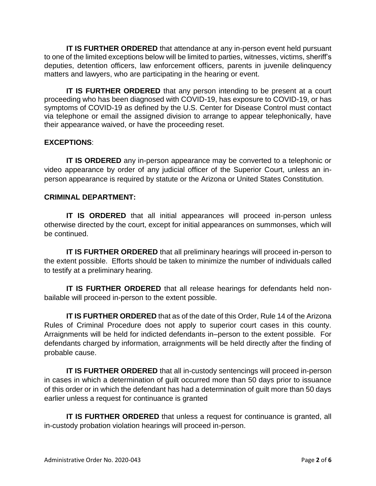**IT IS FURTHER ORDERED** that attendance at any in-person event held pursuant to one of the limited exceptions below will be limited to parties, witnesses, victims, sheriff's deputies, detention officers, law enforcement officers, parents in juvenile delinquency matters and lawyers, who are participating in the hearing or event.

**IT IS FURTHER ORDERED** that any person intending to be present at a court proceeding who has been diagnosed with COVID-19, has exposure to COVID-19, or has symptoms of COVID-19 as defined by the U.S. Center for Disease Control must contact via telephone or email the assigned division to arrange to appear telephonically, have their appearance waived, or have the proceeding reset.

### **EXCEPTIONS**:

**IT IS ORDERED** any in-person appearance may be converted to a telephonic or video appearance by order of any judicial officer of the Superior Court, unless an inperson appearance is required by statute or the Arizona or United States Constitution.

### **CRIMINAL DEPARTMENT:**

**IT IS ORDERED** that all initial appearances will proceed in-person unless otherwise directed by the court, except for initial appearances on summonses, which will be continued.

**IT IS FURTHER ORDERED** that all preliminary hearings will proceed in-person to the extent possible. Efforts should be taken to minimize the number of individuals called to testify at a preliminary hearing.

**IT IS FURTHER ORDERED** that all release hearings for defendants held nonbailable will proceed in-person to the extent possible.

**IT IS FURTHER ORDERED** that as of the date of this Order, Rule 14 of the Arizona Rules of Criminal Procedure does not apply to superior court cases in this county. Arraignments will be held for indicted defendants in–person to the extent possible. For defendants charged by information, arraignments will be held directly after the finding of probable cause.

**IT IS FURTHER ORDERED** that all in-custody sentencings will proceed in-person in cases in which a determination of guilt occurred more than 50 days prior to issuance of this order or in which the defendant has had a determination of guilt more than 50 days earlier unless a request for continuance is granted

**IT IS FURTHER ORDERED** that unless a request for continuance is granted, all in-custody probation violation hearings will proceed in-person.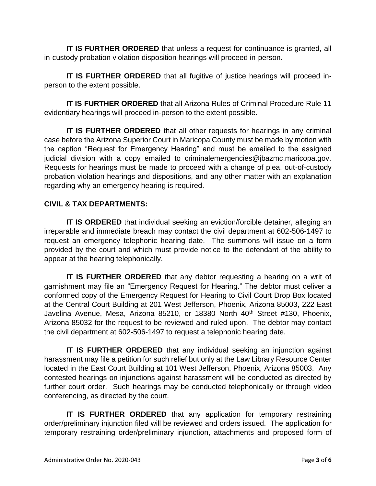**IT IS FURTHER ORDERED** that unless a request for continuance is granted, all in-custody probation violation disposition hearings will proceed in-person.

**IT IS FURTHER ORDERED** that all fugitive of justice hearings will proceed inperson to the extent possible.

**IT IS FURTHER ORDERED** that all Arizona Rules of Criminal Procedure Rule 11 evidentiary hearings will proceed in-person to the extent possible.

**IT IS FURTHER ORDERED** that all other requests for hearings in any criminal case before the Arizona Superior Court in Maricopa County must be made by motion with the caption "Request for Emergency Hearing" and must be emailed to the assigned judicial division with a copy emailed to criminalemergencies@jbazmc.maricopa.gov. Requests for hearings must be made to proceed with a change of plea, out-of-custody probation violation hearings and dispositions, and any other matter with an explanation regarding why an emergency hearing is required.

# **CIVIL & TAX DEPARTMENTS:**

**IT IS ORDERED** that individual seeking an eviction/forcible detainer, alleging an irreparable and immediate breach may contact the civil department at 602-506-1497 to request an emergency telephonic hearing date. The summons will issue on a form provided by the court and which must provide notice to the defendant of the ability to appear at the hearing telephonically.

**IT IS FURTHER ORDERED** that any debtor requesting a hearing on a writ of garnishment may file an "Emergency Request for Hearing." The debtor must deliver a conformed copy of the Emergency Request for Hearing to Civil Court Drop Box located at the Central Court Building at 201 West Jefferson, Phoenix, Arizona 85003, 222 East Javelina Avenue, Mesa, Arizona 85210, or 18380 North 40<sup>th</sup> Street #130, Phoenix, Arizona 85032 for the request to be reviewed and ruled upon. The debtor may contact the civil department at 602-506-1497 to request a telephonic hearing date.

**IT IS FURTHER ORDERED** that any individual seeking an injunction against harassment may file a petition for such relief but only at the Law Library Resource Center located in the East Court Building at 101 West Jefferson, Phoenix, Arizona 85003. Any contested hearings on injunctions against harassment will be conducted as directed by further court order. Such hearings may be conducted telephonically or through video conferencing, as directed by the court.

**IT IS FURTHER ORDERED** that any application for temporary restraining order/preliminary injunction filed will be reviewed and orders issued. The application for temporary restraining order/preliminary injunction, attachments and proposed form of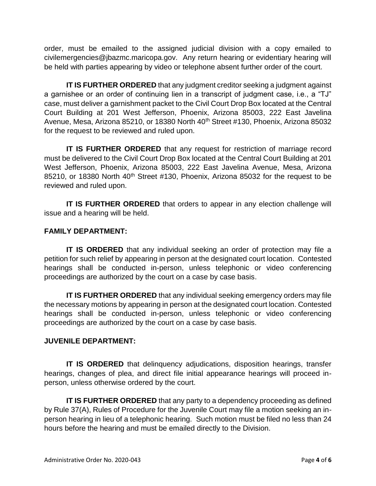order, must be emailed to the assigned judicial division with a copy emailed to civilemergencies@jbazmc.maricopa.gov. Any return hearing or evidentiary hearing will be held with parties appearing by video or telephone absent further order of the court.

**IT IS FURTHER ORDERED** that any judgment creditor seeking a judgment against a garnishee or an order of continuing lien in a transcript of judgment case, i.e., a "TJ" case, must deliver a garnishment packet to the Civil Court Drop Box located at the Central Court Building at 201 West Jefferson, Phoenix, Arizona 85003, 222 East Javelina Avenue, Mesa, Arizona 85210, or 18380 North 40<sup>th</sup> Street #130, Phoenix, Arizona 85032 for the request to be reviewed and ruled upon.

**IT IS FURTHER ORDERED** that any request for restriction of marriage record must be delivered to the Civil Court Drop Box located at the Central Court Building at 201 West Jefferson, Phoenix, Arizona 85003, 222 East Javelina Avenue, Mesa, Arizona 85210, or 18380 North 40<sup>th</sup> Street #130, Phoenix, Arizona 85032 for the request to be reviewed and ruled upon.

**IT IS FURTHER ORDERED** that orders to appear in any election challenge will issue and a hearing will be held.

# **FAMILY DEPARTMENT:**

**IT IS ORDERED** that any individual seeking an order of protection may file a petition for such relief by appearing in person at the designated court location. Contested hearings shall be conducted in-person, unless telephonic or video conferencing proceedings are authorized by the court on a case by case basis.

**IT IS FURTHER ORDERED** that any individual seeking emergency orders may file the necessary motions by appearing in person at the designated court location. Contested hearings shall be conducted in-person, unless telephonic or video conferencing proceedings are authorized by the court on a case by case basis.

### **JUVENILE DEPARTMENT:**

**IT IS ORDERED** that delinquency adjudications, disposition hearings, transfer hearings, changes of plea, and direct file initial appearance hearings will proceed inperson, unless otherwise ordered by the court.

**IT IS FURTHER ORDERED** that any party to a dependency proceeding as defined by Rule 37(A), Rules of Procedure for the Juvenile Court may file a motion seeking an inperson hearing in lieu of a telephonic hearing. Such motion must be filed no less than 24 hours before the hearing and must be emailed directly to the Division.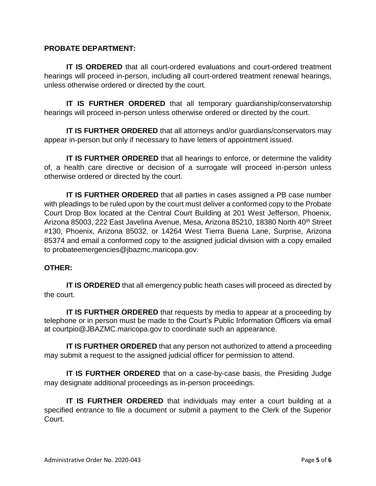#### **PROBATE DEPARTMENT:**

**IT IS ORDERED** that all court-ordered evaluations and court-ordered treatment hearings will proceed in-person, including all court-ordered treatment renewal hearings, unless otherwise ordered or directed by the court.

**IT IS FURTHER ORDERED** that all temporary guardianship/conservatorship hearings will proceed in-person unless otherwise ordered or directed by the court.

**IT IS FURTHER ORDERED** that all attorneys and/or guardians/conservators may appear in-person but only if necessary to have letters of appointment issued.

**IT IS FURTHER ORDERED** that all hearings to enforce, or determine the validity of, a health care directive or decision of a surrogate will proceed in-person unless otherwise ordered or directed by the court.

**IT IS FURTHER ORDERED** that all parties in cases assigned a PB case number with pleadings to be ruled upon by the court must deliver a conformed copy to the Probate Court Drop Box located at the Central Court Building at 201 West Jefferson, Phoenix, Arizona 85003, 222 East Javelina Avenue, Mesa, Arizona 85210, 18380 North 40<sup>th</sup> Street #130, Phoenix, Arizona 85032, or 14264 West Tierra Buena Lane, Surprise, Arizona 85374 and email a conformed copy to the assigned judicial division with a copy emailed to probateemergencies@jbazmc.maricopa.gov.

### **OTHER:**

**IT IS ORDERED** that all emergency public heath cases will proceed as directed by the court.

**IT IS FURTHER ORDERED** that requests by media to appear at a proceeding by telephone or in person must be made to the Court's Public Information Officers via email at courtpio@JBAZMC.maricopa.gov to coordinate such an appearance.

**IT IS FURTHER ORDERED** that any person not authorized to attend a proceeding may submit a request to the assigned judicial officer for permission to attend.

**IT IS FURTHER ORDERED** that on a case-by-case basis, the Presiding Judge may designate additional proceedings as in-person proceedings.

**IT IS FURTHER ORDERED** that individuals may enter a court building at a specified entrance to file a document or submit a payment to the Clerk of the Superior Court.